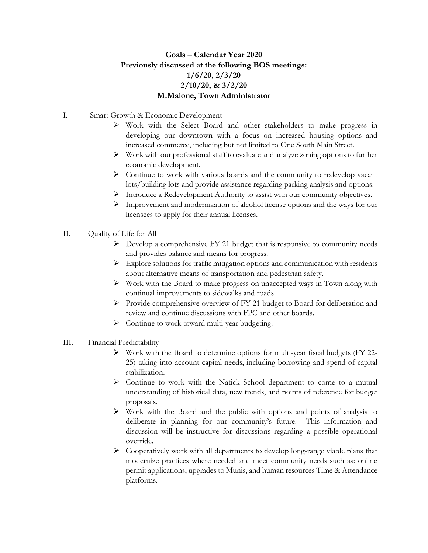## **Goals – Calendar Year 2020 Previously discussed at the following BOS meetings: 1/6/20, 2/3/20 2/10/20, & 3/2/20 M.Malone, Town Administrator**

- I. Smart Growth & Economic Development
	- $\triangleright$  Work with the Select Board and other stakeholders to make progress in developing our downtown with a focus on increased housing options and increased commerce, including but not limited to One South Main Street.
	- Work with our professional staff to evaluate and analyze zoning options to further economic development.
	- $\triangleright$  Continue to work with various boards and the community to redevelop vacant lots/building lots and provide assistance regarding parking analysis and options.
	- Introduce a Redevelopment Authority to assist with our community objectives.
	- $\triangleright$  Improvement and modernization of alcohol license options and the ways for our licensees to apply for their annual licenses.
- II. Quality of Life for All
	- $\triangleright$  Develop a comprehensive FY 21 budget that is responsive to community needs and provides balance and means for progress.
	- $\triangleright$  Explore solutions for traffic mitigation options and communication with residents about alternative means of transportation and pedestrian safety.
	- $\triangleright$  Work with the Board to make progress on unaccepted ways in Town along with continual improvements to sidewalks and roads.
	- Provide comprehensive overview of FY 21 budget to Board for deliberation and review and continue discussions with FPC and other boards.
	- $\triangleright$  Continue to work toward multi-year budgeting.
- III. Financial Predictability
	- $\triangleright$  Work with the Board to determine options for multi-year fiscal budgets (FY 22-25) taking into account capital needs, including borrowing and spend of capital stabilization.
	- $\triangleright$  Continue to work with the Natick School department to come to a mutual understanding of historical data, new trends, and points of reference for budget proposals.
	- $\triangleright$  Work with the Board and the public with options and points of analysis to deliberate in planning for our community's future. This information and discussion will be instructive for discussions regarding a possible operational override.
	- $\triangleright$  Cooperatively work with all departments to develop long-range viable plans that modernize practices where needed and meet community needs such as: online permit applications, upgrades to Munis, and human resources Time & Attendance platforms.